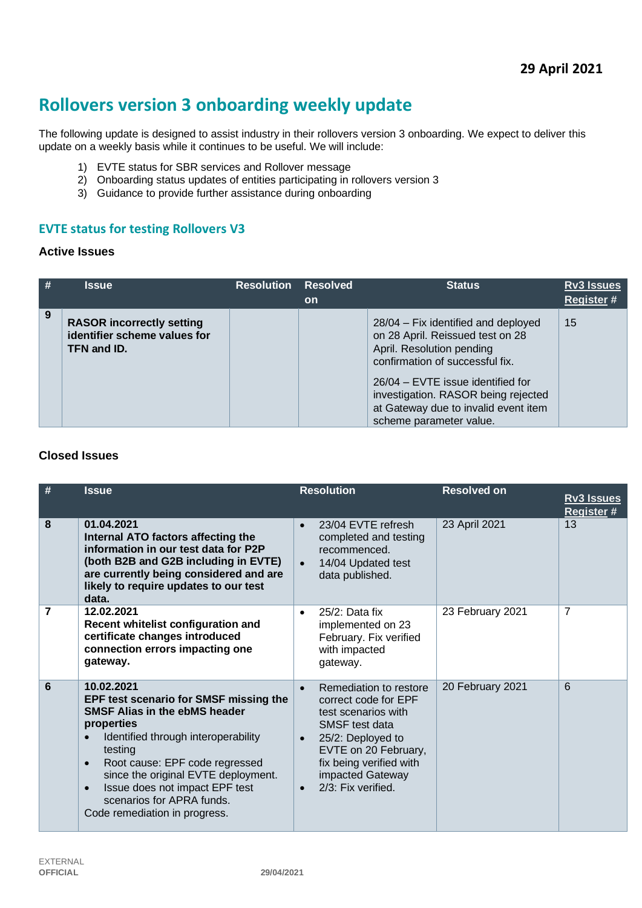# **Rollovers version 3 onboarding weekly update**

The following update is designed to assist industry in their rollovers version 3 onboarding. We expect to deliver this update on a weekly basis while it continues to be useful. We will include:

- 1) EVTE status for SBR services and Rollover message
- 2) Onboarding status updates of entities participating in rollovers version 3
- 3) Guidance to provide further assistance during onboarding

#### **EVTE status for testing Rollovers V3**

#### **Active Issues**

| # | <b>Issue</b>                                                                    | <b>Resolution</b> | <b>Resolved</b><br>on | <b>Status</b>                                                                                                                                                                                                                                                                          | <b>Rv3 Issues</b><br>Register # |
|---|---------------------------------------------------------------------------------|-------------------|-----------------------|----------------------------------------------------------------------------------------------------------------------------------------------------------------------------------------------------------------------------------------------------------------------------------------|---------------------------------|
| 9 | <b>RASOR incorrectly setting</b><br>identifier scheme values for<br>TFN and ID. |                   |                       | 28/04 – Fix identified and deployed<br>on 28 April. Reissued test on 28<br>April. Resolution pending<br>confirmation of successful fix.<br>26/04 – EVTE issue identified for<br>investigation. RASOR being rejected<br>at Gateway due to invalid event item<br>scheme parameter value. | 15                              |

#### **Closed Issues**

| # | <b>Issue</b>                                                                                                                                                                                                                                                                                                                                                                 | <b>Resolution</b>                                                                                                                                                                                                                                   | <b>Resolved on</b> | <b>Rv3 Issues</b><br>Register # |
|---|------------------------------------------------------------------------------------------------------------------------------------------------------------------------------------------------------------------------------------------------------------------------------------------------------------------------------------------------------------------------------|-----------------------------------------------------------------------------------------------------------------------------------------------------------------------------------------------------------------------------------------------------|--------------------|---------------------------------|
| 8 | 01.04.2021<br>Internal ATO factors affecting the<br>information in our test data for P2P<br>(both B2B and G2B including in EVTE)<br>are currently being considered and are<br>likely to require updates to our test<br>data.                                                                                                                                                 | 23/04 EVTE refresh<br>$\bullet$<br>completed and testing<br>recommenced.<br>14/04 Updated test<br>data published.                                                                                                                                   | 23 April 2021      | 13                              |
| 7 | 12.02.2021<br>Recent whitelist configuration and<br>certificate changes introduced<br>connection errors impacting one<br>gateway.                                                                                                                                                                                                                                            | $25/2$ : Data fix<br>$\bullet$<br>implemented on 23<br>February. Fix verified<br>with impacted<br>gateway.                                                                                                                                          | 23 February 2021   | 7                               |
| 6 | 10.02.2021<br>EPF test scenario for SMSF missing the<br><b>SMSF Alias in the ebMS header</b><br>properties<br>Identified through interoperability<br>$\bullet$<br>testing<br>Root cause: EPF code regressed<br>$\bullet$<br>since the original EVTE deployment.<br>Issue does not impact EPF test<br>$\bullet$<br>scenarios for APRA funds.<br>Code remediation in progress. | Remediation to restore<br>$\bullet$<br>correct code for EPF<br>test scenarios with<br>SMSF test data<br>25/2: Deployed to<br>$\bullet$<br>EVTE on 20 February,<br>fix being verified with<br>impacted Gateway<br>$2/3$ : Fix verified.<br>$\bullet$ | 20 February 2021   | 6                               |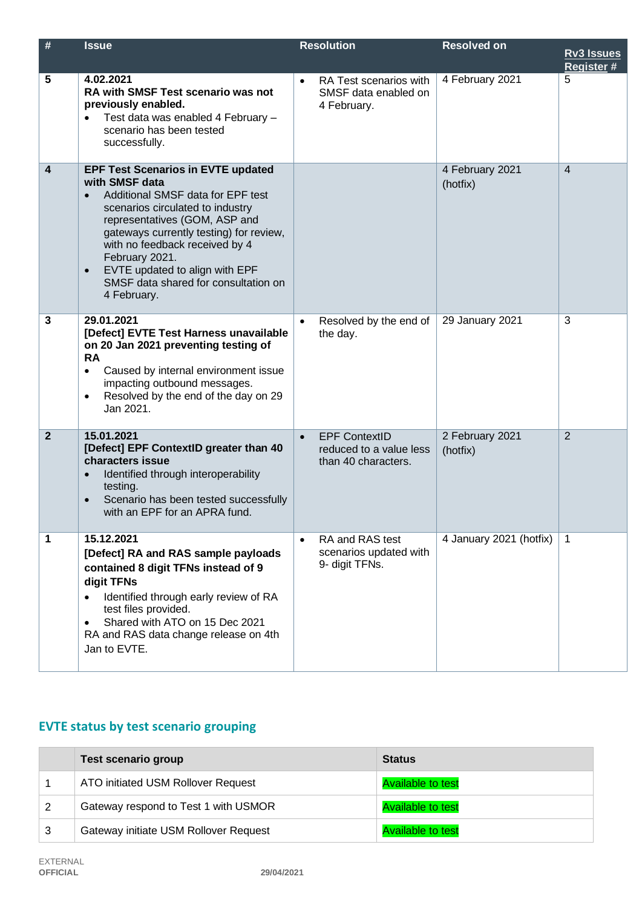| $\#$         | <b>Issue</b>                                                                                                                                                                                                                                                                                                                                                               | <b>Resolution</b>                                                                   | <b>Resolved on</b>          | <b>Rv3 Issues</b><br><b>Register#</b> |
|--------------|----------------------------------------------------------------------------------------------------------------------------------------------------------------------------------------------------------------------------------------------------------------------------------------------------------------------------------------------------------------------------|-------------------------------------------------------------------------------------|-----------------------------|---------------------------------------|
| 5            | 4.02.2021<br>RA with SMSF Test scenario was not<br>previously enabled.<br>Test data was enabled 4 February -<br>scenario has been tested<br>successfully.                                                                                                                                                                                                                  | RA Test scenarios with<br>$\bullet$<br>SMSF data enabled on<br>4 February.          | 4 February 2021             | 5                                     |
| 4            | <b>EPF Test Scenarios in EVTE updated</b><br>with SMSF data<br>Additional SMSF data for EPF test<br>$\bullet$<br>scenarios circulated to industry<br>representatives (GOM, ASP and<br>gateways currently testing) for review,<br>with no feedback received by 4<br>February 2021.<br>EVTE updated to align with EPF<br>SMSF data shared for consultation on<br>4 February. |                                                                                     | 4 February 2021<br>(hotfix) | $\overline{4}$                        |
| 3            | 29.01.2021<br>[Defect] EVTE Test Harness unavailable<br>on 20 Jan 2021 preventing testing of<br><b>RA</b><br>Caused by internal environment issue<br>$\bullet$<br>impacting outbound messages.<br>Resolved by the end of the day on 29<br>$\bullet$<br>Jan 2021.                                                                                                           | Resolved by the end of<br>$\bullet$<br>the day.                                     | 29 January 2021             | 3                                     |
| $\mathbf{2}$ | 15.01.2021<br>[Defect] EPF ContextID greater than 40<br>characters issue<br>Identified through interoperability<br>$\bullet$<br>testing.<br>Scenario has been tested successfully<br>$\bullet$<br>with an EPF for an APRA fund.                                                                                                                                            | <b>EPF ContextID</b><br>$\bullet$<br>reduced to a value less<br>than 40 characters. | 2 February 2021<br>(hotfix) | $\overline{2}$                        |
| 1            | 15.12.2021<br>[Defect] RA and RAS sample payloads<br>contained 8 digit TFNs instead of 9<br>digit TFNs<br>Identified through early review of RA<br>test files provided.<br>Shared with ATO on 15 Dec 2021<br>$\bullet$<br>RA and RAS data change release on 4th<br>Jan to EVTE.                                                                                            | RA and RAS test<br>$\bullet$<br>scenarios updated with<br>9- digit TFNs.            | 4 January 2021 (hotfix)     | 1                                     |

## **EVTE status by test scenario grouping**

|   | <b>Test scenario group</b>            | <b>Status</b>            |
|---|---------------------------------------|--------------------------|
|   | ATO initiated USM Rollover Request    | <b>Available to test</b> |
|   | Gateway respond to Test 1 with USMOR  | <b>Available to test</b> |
| 3 | Gateway initiate USM Rollover Request | <b>Available to test</b> |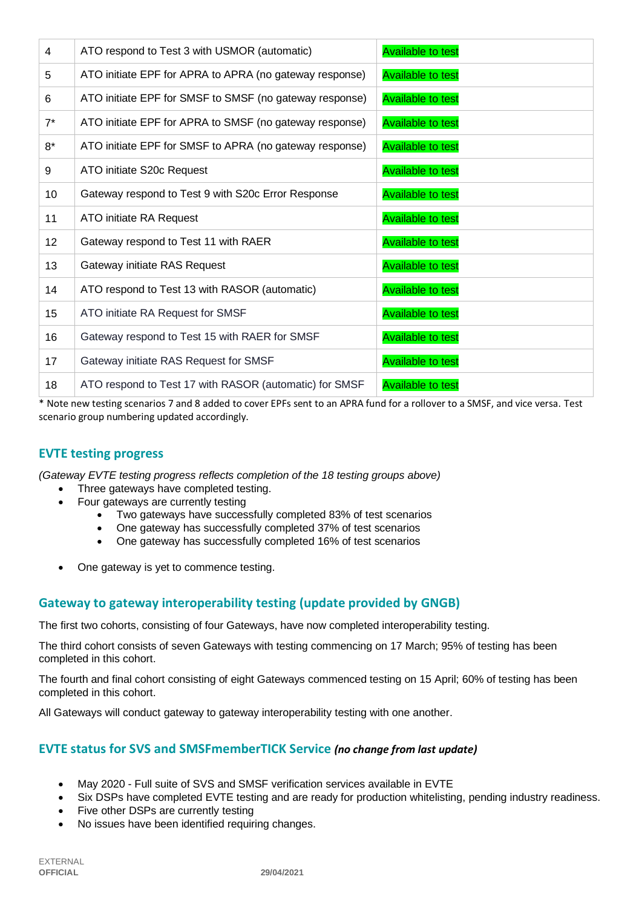| 4     | ATO respond to Test 3 with USMOR (automatic)            | <b>Available to test</b> |
|-------|---------------------------------------------------------|--------------------------|
| 5     | ATO initiate EPF for APRA to APRA (no gateway response) | <b>Available to test</b> |
| 6     | ATO initiate EPF for SMSF to SMSF (no gateway response) | <b>Available to test</b> |
| $7^*$ | ATO initiate EPF for APRA to SMSF (no gateway response) | <b>Available to test</b> |
| $8*$  | ATO initiate EPF for SMSF to APRA (no gateway response) | <b>Available to test</b> |
| 9     | ATO initiate S20c Request                               | <b>Available to test</b> |
| 10    | Gateway respond to Test 9 with S20c Error Response      | <b>Available to test</b> |
| 11    | ATO initiate RA Request                                 | <b>Available to test</b> |
| 12    | Gateway respond to Test 11 with RAER                    | <b>Available to test</b> |
| 13    | Gateway initiate RAS Request                            | <b>Available to test</b> |
| 14    | ATO respond to Test 13 with RASOR (automatic)           | <b>Available to test</b> |
| 15    | ATO initiate RA Request for SMSF                        | <b>Available to test</b> |
| 16    | Gateway respond to Test 15 with RAER for SMSF           | <b>Available to test</b> |
| 17    | Gateway initiate RAS Request for SMSF                   | <b>Available to test</b> |
| 18    | ATO respond to Test 17 with RASOR (automatic) for SMSF  | <b>Available to test</b> |

\* Note new testing scenarios 7 and 8 added to cover EPFs sent to an APRA fund for a rollover to a SMSF, and vice versa. Test scenario group numbering updated accordingly.

#### **EVTE testing progress**

*(Gateway EVTE testing progress reflects completion of the 18 testing groups above)*

- Three gateways have completed testing.
- Four gateways are currently testing
	- Two gateways have successfully completed 83% of test scenarios
	- One gateway has successfully completed 37% of test scenarios
	- One gateway has successfully completed 16% of test scenarios
- One gateway is yet to commence testing.

#### **Gateway to gateway interoperability testing (update provided by GNGB)**

The first two cohorts, consisting of four Gateways, have now completed interoperability testing.

The third cohort consists of seven Gateways with testing commencing on 17 March; 95% of testing has been completed in this cohort.

The fourth and final cohort consisting of eight Gateways commenced testing on 15 April; 60% of testing has been completed in this cohort.

All Gateways will conduct gateway to gateway interoperability testing with one another.

#### **EVTE status for SVS and SMSFmemberTICK Service** *(no change from last update)*

- May 2020 Full suite of SVS and SMSF verification services available in EVTE
- Six DSPs have completed EVTE testing and are ready for production whitelisting, pending industry readiness.
- Five other DSPs are currently testing
- No issues have been identified requiring changes.